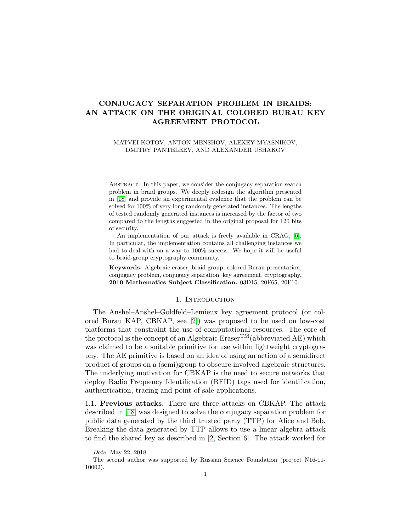# CONJUGACY SEPARATION PROBLEM IN BRAIDS: AN ATTACK ON THE ORIGINAL COLORED BURAU KEY AGREEMENT PROTOCOL

### MATVEI KOTOV, ANTON MENSHOV, ALEXEY MYASNIKOV, DMITRY PANTELEEV, AND ALEXANDER USHAKOV

ABSTRACT. In this paper, we consider the conjugacy separation search problem in braid groups. We deeply redesign the algorithm presented in [\[18\]](#page-15-0) and provide an experimental evidence that the problem can be solved for 100% of very long randomly generated instances. The lengths of tested randomly generated instances is increased by the factor of two compared to the lengths suggested in the original proposal for 120 bits of security.

An implementation of our attack is freely available in CRAG, [\[6\]](#page-15-1). In particular, the implementation contains all challenging instances we had to deal with on a way to 100% success. We hope it will be useful to braid-group cryptography community.

Keywords. Algebraic eraser, braid group, colored Burau presentation, conjugacy problem, conjugacy separation, key agreement, cryptography. 2010 Mathematics Subject Classification. 03D15, 20F65, 20F10.

### 1. INTRODUCTION

The Anshel–Anshel–Goldfeld–Lemieux key agreement protocol (or colored Burau KAP, CBKAP, see [\[2\]](#page-15-2)) was proposed to be used on low-cost platforms that constraint the use of computational resources. The core of the protocol is the concept of an Algebraic  $\text{Eraser}^{TM}(\text{abbreviated AE})$  which was claimed to be a suitable primitive for use within lightweight cryptography. The AE primitive is based on an idea of using an action of a semidirect product of groups on a (semi)group to obscure involved algebraic structures. The underlying motivation for CBKAP is the need to secure networks that deploy Radio Frequency Identification (RFID) tags used for identification, authentication, tracing and point-of-sale applications.

1.1. Previous attacks. There are three attacks on CBKAP. The attack described in [\[18\]](#page-15-0) was designed to solve the conjugacy separation problem for public data generated by the third trusted party (TTP) for Alice and Bob. Breaking the data generated by TTP allows to use a linear algebra attack to find the shared key as described in [\[2,](#page-15-2) Section 6]. The attack worked for

Date: May 22, 2018.

The second author was supported by Russian Science Foundation (project N16-11- 10002).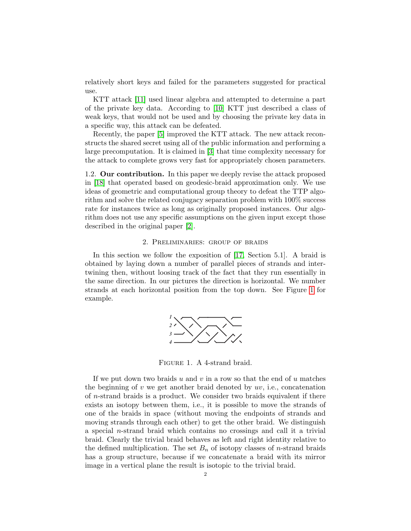relatively short keys and failed for the parameters suggested for practical use.

KTT attack [\[11\]](#page-15-3) used linear algebra and attempted to determine a part of the private key data. According to [\[10\]](#page-15-4) KTT just described a class of weak keys, that would not be used and by choosing the private key data in a specific way, this attack can be defeated.

Recently, the paper [\[5\]](#page-15-5) improved the KTT attack. The new attack reconstructs the shared secret using all of the public information and performing a large precomputation. It is claimed in [\[3\]](#page-15-6) that time complexity necessary for the attack to complete grows very fast for appropriately chosen parameters.

1.2. Our contribution. In this paper we deeply revise the attack proposed in [\[18\]](#page-15-0) that operated based on geodesic-braid approximation only. We use ideas of geometric and computational group theory to defeat the TTP algorithm and solve the related conjugacy separation problem with 100% success rate for instances twice as long as originally proposed instances. Our algorithm does not use any specific assumptions on the given input except those described in the original paper [\[2\]](#page-15-2).

### 2. Preliminaries: group of braids

In this section we follow the exposition of [\[17,](#page-15-7) Section 5.1]. A braid is obtained by laying down a number of parallel pieces of strands and intertwining then, without loosing track of the fact that they run essentially in the same direction. In our pictures the direction is horizontal. We number strands at each horizontal position from the top down. See Figure [1](#page-1-0) for example.



<span id="page-1-0"></span>Figure 1. A 4-strand braid.

If we put down two braids u and v in a row so that the end of u matches the beginning of  $v$  we get another braid denoted by  $uv$ , i.e., concatenation of n-strand braids is a product. We consider two braids equivalent if there exists an isotopy between them, i.e., it is possible to move the strands of one of the braids in space (without moving the endpoints of strands and moving strands through each other) to get the other braid. We distinguish a special n-strand braid which contains no crossings and call it a trivial braid. Clearly the trivial braid behaves as left and right identity relative to the defined multiplication. The set  $B_n$  of isotopy classes of *n*-strand braids has a group structure, because if we concatenate a braid with its mirror image in a vertical plane the result is isotopic to the trivial braid.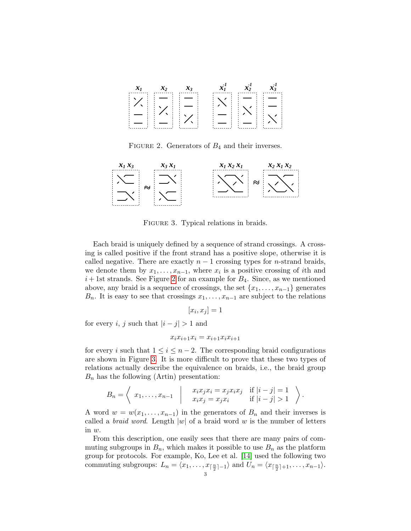

<span id="page-2-0"></span>FIGURE 2. Generators of  $B_4$  and their inverses.



<span id="page-2-1"></span>FIGURE 3. Typical relations in braids.

Each braid is uniquely defined by a sequence of strand crossings. A crossing is called positive if the front strand has a positive slope, otherwise it is called negative. There are exactly  $n-1$  crossing types for *n*-strand braids, we denote them by  $x_1, \ldots, x_{n-1}$ , where  $x_i$  is a positive crossing of *i*th and  $i+1$ st strands. See Figure [2](#page-2-0) for an example for  $B_4$ . Since, as we mentioned above, any braid is a sequence of crossings, the set  $\{x_1, \ldots, x_{n-1}\}$  generates  $B_n$ . It is easy to see that crossings  $x_1, \ldots, x_{n-1}$  are subject to the relations

$$
[x_i, x_j] = 1
$$

for every i, j such that  $|i - j| > 1$  and

$$
x_i x_{i+1} x_i = x_{i+1} x_i x_{i+1}
$$

for every i such that  $1 \leq i \leq n-2$ . The corresponding braid configurations are shown in Figure [3.](#page-2-1) It is more difficult to prove that these two types of relations actually describe the equivalence on braids, i.e., the braid group  $B_n$  has the following (Artin) presentation:

$$
B_n = \left\langle x_1, \ldots, x_{n-1} \mid \begin{array}{c} x_i x_j x_i = x_j x_i x_j & \text{if } |i-j| = 1 \\ x_i x_j = x_j x_i & \text{if } |i-j| > 1 \end{array} \right\rangle.
$$

A word  $w = w(x_1, \ldots, x_{n-1})$  in the generators of  $B_n$  and their inverses is called a *braid word*. Length  $|w|$  of a braid word w is the number of letters in w.

From this description, one easily sees that there are many pairs of commuting subgroups in  $B_n$ , which makes it possible to use  $B_n$  as the platform group for protocols. For example, Ko, Lee et al. [\[14\]](#page-15-8) used the following two commuting subgroups:  $L_n = \langle x_1, \ldots, x_{\lceil \frac{n}{2} \rceil - 1} \rangle$  and  $U_n = \langle x_{\lceil \frac{n}{2} \rceil + 1}, \ldots, x_{n-1} \rangle$ .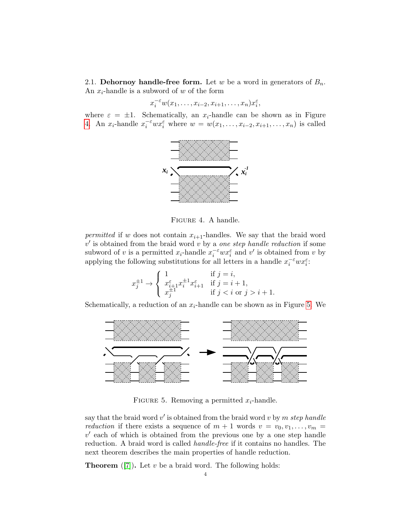2.1. Dehornoy handle-free form. Let w be a word in generators of  $B_n$ . An  $x_i$ -handle is a subword of w of the form

$$
x_i^{-\varepsilon} w(x_1,\ldots,x_{i-2},x_{i+1},\ldots,x_n)x_i^{\varepsilon},
$$

where  $\varepsilon = \pm 1$ . Schematically, an  $x_i$ -handle can be shown as in Figure [4.](#page-3-0) An  $x_i$ -handle  $x_i^{-\varepsilon}wx_i^{\varepsilon}$  where  $w=w(x_1,\ldots,x_{i-2},x_{i+1},\ldots,x_n)$  is called



<span id="page-3-0"></span>Figure 4. A handle.

permitted if w does not contain  $x_{i+1}$ -handles. We say that the braid word  $v'$  is obtained from the braid word  $v$  by a one step handle reduction if some subword of v is a permitted  $x_i$ -handle  $x_i^{-\varepsilon}wx_i^{\varepsilon}$  and v' is obtained from v by applying the following substitutions for all letters in a handle  $x_i^{-\varepsilon}wx_i^{\varepsilon}$ :

$$
x_j^{\pm 1} \rightarrow \begin{cases} 1 & \text{if } j = i, \\ x_{i+1}^{\varepsilon} x_i^{\pm 1} x_{i+1}^{\varepsilon} & \text{if } j = i+1, \\ x_j^{\pm 1} & \text{if } j < i \text{ or } j > i+1. \end{cases}
$$

Schematically, a reduction of an  $x_i$ -handle can be shown as in Figure [5.](#page-3-1) We



<span id="page-3-1"></span>FIGURE 5. Removing a permitted  $x_i$ -handle.

say that the braid word  $v'$  is obtained from the braid word v by m step handle *reduction* if there exists a sequence of  $m + 1$  words  $v = v_0, v_1, \ldots, v_m =$  $v'$  each of which is obtained from the previous one by a one step handle reduction. A braid word is called handle-free if it contains no handles. The next theorem describes the main properties of handle reduction.

**Theorem** ([\[7\]](#page-15-9)). Let  $v$  be a braid word. The following holds: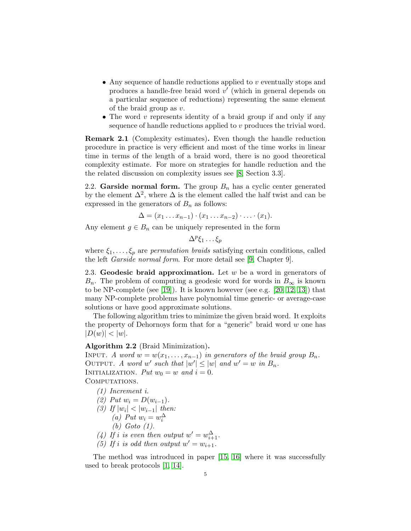- Any sequence of handle reductions applied to  $v$  eventually stops and produces a handle-free braid word  $v'$  (which in general depends on a particular sequence of reductions) representing the same element of the braid group as v.
- The word  $v$  represents identity of a braid group if and only if any sequence of handle reductions applied to v produces the trivial word.

Remark 2.1 (Complexity estimates). Even though the handle reduction procedure in practice is very efficient and most of the time works in linear time in terms of the length of a braid word, there is no good theoretical complexity estimate. For more on strategies for handle reduction and the the related discussion on complexity issues see [\[8,](#page-15-10) Section 3.3].

2.2. Garside normal form. The group  $B_n$  has a cyclic center generated by the element  $\Delta^2$ , where  $\Delta$  is the element called the half twist and can be expressed in the generators of  $B_n$  as follows:

$$
\Delta = (x_1 \ldots x_{n-1}) \cdot (x_1 \ldots x_{n-2}) \cdot \ldots \cdot (x_1).
$$

Any element  $g \in B_n$  can be uniquely represented in the form

 $\Delta^p \xi_1 \dots \xi_p$ 

where  $\xi_1, \ldots, \xi_p$  are permutation braids satisfying certain conditions, called the left Garside normal form. For more detail see [\[9,](#page-15-11) Chapter 9].

2.3. Geodesic braid approximation. Let  $w$  be a word in generators of  $B_n$ . The problem of computing a geodesic word for words in  $B_{\infty}$  is known to be NP-complete (see [\[19\]](#page-15-12)). It is known however (see e.g. [\[20,](#page-15-13) [12,](#page-15-14) [13\]](#page-15-15)) that many NP-complete problems have polynomial time generic- or average-case solutions or have good approximate solutions.

The following algorithm tries to minimize the given braid word. It exploits the property of Dehornoys form that for a "generic" braid word  $w$  one has  $|D(w)| < |w|$ .

### Algorithm 2.2 (Braid Minimization).

INPUT. A word  $w = w(x_1, \ldots, x_{n-1})$  in generators of the braid group  $B_n$ . OUTPUT. A word w' such that  $|w'| \le |w|$  and  $w' = w$  in  $B_n$ . INITIALIZATION. Put  $w_0 = w$  and  $i = 0$ . COMPUTATIONS.

- (1) Increment i.
- (2) Put  $w_i = D(w_{i-1})$ .
- (3) If  $|w_i| < |w_{i-1}|$  then:
	- (a) Put  $w_i = w_i^{\Delta}$ 
		- (b) Goto (1).
- (4) If i is even then output  $w' = w_{i+1}^{\Delta}$ .
- (5) If i is odd then output  $w' = w_{i+1}$ .

The method was introduced in paper [\[15,](#page-15-16) [16\]](#page-15-17) where it was successfully used to break protocols [\[1,](#page-14-0) [14\]](#page-15-8).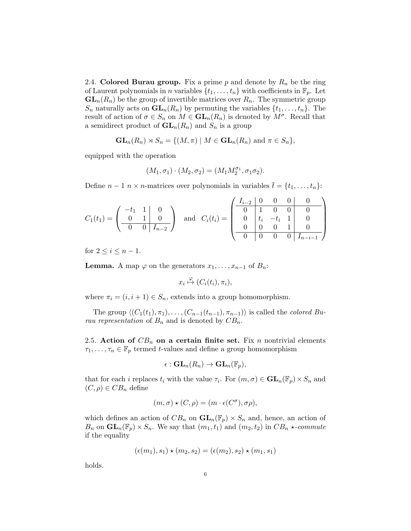<span id="page-5-0"></span>2.4. Colored Burau group. Fix a prime  $p$  and denote by  $R_n$  be the ring of Laurent polynomials in n variables  $\{t_1, \ldots, t_n\}$  with coefficients in  $\mathbb{F}_p$ . Let  $GL_n(R_n)$  be the group of invertible matrices over  $R_n$ . The symmetric group  $S_n$  naturally acts on  $\mathbf{GL}_n(R_n)$  by permuting the variables  $\{t_1, \ldots, t_n\}$ . The result of action of  $\sigma \in S_n$  on  $M \in GL_n(R_n)$  is denoted by  $M^{\sigma}$ . Recall that a semidirect product of  $\mathbf{GL}_n(R_n)$  and  $S_n$  is a group

$$
\mathbf{GL}_n(R_n) \rtimes S_n = \{ (M, \pi) \mid M \in \mathbf{GL}_n(R_n) \text{ and } \pi \in S_n \},
$$

equipped with the operation

$$
(M_1, \sigma_1) \cdot (M_2, \sigma_2) = (M_1 M_2^{\sigma_1}, \sigma_1 \sigma_2).
$$

Define  $n-1$   $n \times n$ -matrices over polynomials in variables  $\bar{t} = \{t_1, \ldots, t_n\}$ :

$$
C_1(t_1) = \begin{pmatrix} -t_1 & 1 & 0 \\ 0 & 1 & 0 \\ \hline 0 & 0 & I_{n-2} \end{pmatrix} \text{ and } C_i(t_i) = \begin{pmatrix} I_{i-2} & 0 & 0 & 0 & 0 \\ 0 & 1 & 0 & 0 & 0 \\ 0 & t_i & -t_i & 1 & 0 \\ \hline 0 & 0 & 0 & 1 & 0 \\ \hline 0 & 0 & 0 & 0 & I_{n-i-1} \end{pmatrix}
$$

for  $2 \leq i \leq n-1$ .

**Lemma.** A map  $\varphi$  on the generators  $x_1, \ldots, x_{n-1}$  of  $B_n$ :

$$
x_i \overset{\varphi}{\mapsto} (C_i(t_i), \pi_i),
$$

where  $\pi_i = (i, i + 1) \in S_n$ , extends into a group homomorphism.

The group  $\langle (C_1(t_1), \pi_1), \ldots, (C_{n-1}(t_{n-1}), \pi_{n-1})\rangle$  is called the *colored Bu*rau representation of  $B_n$  and is denoted by  $CB_n$ .

2.5. Action of  $CB_n$  on a certain finite set. Fix n nontrivial elements  $\tau_1, \ldots, \tau_n \in \mathbb{F}_p$  termed t-values and define a group homomorphism

$$
\epsilon: \mathbf{GL}_n(R_n) \to \mathbf{GL}_n(\mathbb{F}_p),
$$

that for each *i* replaces  $t_i$  with the value  $\tau_i$ . For  $(m, \sigma) \in \mathbf{GL}_n(\mathbb{F}_p) \times S_n$  and  $(C, \rho) \in CB_n$  define

$$
(m, \sigma) \star (C, \rho) = (m \cdot \epsilon(C^{\sigma}), \sigma \rho),
$$

which defines an action of  $CB_n$  on  $GL_n(\mathbb{F}_p) \times S_n$  and, hence, an action of  $B_n$  on  $\mathbf{GL}_n(\mathbb{F}_p)\times S_n$ . We say that  $(m_1,t_1)$  and  $(m_2,t_2)$  in  $CB_n \star$ -commute if the equality

$$
(\epsilon(m_1), s_1) \star (m_2, s_2) = (\epsilon(m_2), s_2) \star (m_1, s_1)
$$

holds.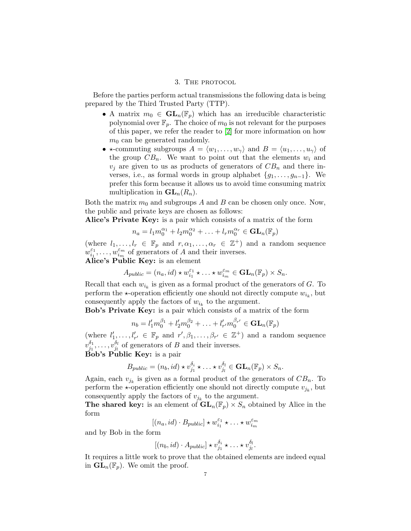## 3. THE PROTOCOL

Before the parties perform actual transmissions the following data is being prepared by the Third Trusted Party (TTP).

- A matrix  $m_0 \in GL_n(\mathbb{F}_p)$  which has an irreducible characteristic polynomial over  $\mathbb{F}_p$ . The choice of  $m_0$  is not relevant for the purposes of this paper, we refer the reader to [\[2\]](#page-15-2) for more information on how  $m_0$  can be generated randomly.
- $\star$ -commuting subgroups  $A = \langle w_1, \ldots, w_{\gamma} \rangle$  and  $B = \langle u_1, \ldots, u_{\gamma} \rangle$  of the group  $CB_n$ . We want to point out that the elements  $w_i$  and  $v_i$  are given to us as products of generators of  $CB_n$  and there inverses, i.e., as formal words in group alphabet  $\{g_1, \ldots, g_{n-1}\}$ . We prefer this form because it allows us to avoid time consuming matrix multiplication in  $\mathbf{GL}_n(R_n)$ .

Both the matrix  $m_0$  and subgroups A and B can be chosen only once. Now, the public and private keys are chosen as follows:

Alice's Private Key: is a pair which consists of a matrix of the form

$$
n_a = l_1 m_0^{\alpha_1} + l_2 m_0^{\alpha_2} + \ldots + l_r m_0^{\alpha_r} \in \mathbf{GL}_n(\mathbb{F}_p)
$$

(where  $l_1, \ldots, l_r \in \mathbb{F}_p$  and  $r, \alpha_1, \ldots, \alpha_r \in \mathbb{Z}^+$ ) and a random sequence  $w_{i_1}^{\varepsilon_1}$  $\zeta_1^{\varepsilon_1}, \ldots, \omega_{i_m}^{\varepsilon_m}$  of generators of A and their inverses. Alice's Public Key: is an element

$$
A_{public} = (n_a, id) \star w_{i_1}^{\varepsilon_1} \star \ldots \star w_{i_m}^{\varepsilon_m} \in \mathbf{GL}_n(\mathbb{F}_p) \times S_n.
$$

Recall that each  $w_{i_k}$  is given as a formal product of the generators of G. To perform the  $\star$ -operation efficiently one should not directly compute  $w_{i_k}$ , but consequently apply the factors of  $w_{i_k}$  to the argument.

Bob's Private Key: is a pair which consists of a matrix of the form

$$
n_b = l'_1 m_0^{\beta_1} + l'_2 m_0^{\beta_2} + \ldots + l'_{r'} m_0^{\beta_{r'}} \in \mathbf{GL}_n(\mathbb{F}_p)
$$

(where  $l'_1, \ldots, l'_{r'} \in \mathbb{F}_p$  and  $r', \beta_1, \ldots, \beta_{r'} \in \mathbb{Z}^+$ ) and a random sequence  $v_{i_1}^{\delta_1}$  $\frac{\delta_1}{j_1},\ldots, \allowbreak v_{j_l}^{\delta_l}$  $j_l^{\mathfrak{d}_l}$  of generators of B and their inverses. Bob's Public Key: is a pair

$$
B_{public} = (n_b, id) \star v_{j_1}^{\delta_i} \star \ldots \star v_{j_l}^{\delta_l} \in \mathbf{GL}_n(\mathbb{F}_p) \times S_n.
$$

Again, each  $v_{j_k}$  is given as a formal product of the generators of  $CB_n$ . To perform the  $\star$ -operation efficiently one should not directly compute  $v_{j_k}$ , but consequently apply the factors of  $v_{j_k}$  to the argument.

**The shared key:** is an element of  $\mathbf{GL}_n(\mathbb{F}_p) \times S_n$  obtained by Alice in the form

$$
[(n_a, id) \cdot B_{public}] \star w_{i_1}^{\epsilon_1} \star \ldots \star w_{i_m}^{\epsilon_m}
$$

and by Bob in the form

$$
[(n_b, id) \cdot A_{public}] \star v_{j_1}^{\delta_i} \star \ldots \star v_{j_l}^{\delta_l}.
$$

It requires a little work to prove that the obtained elements are indeed equal in  $\mathbf{GL}_n(\mathbb{F}_p)$ . We omit the proof.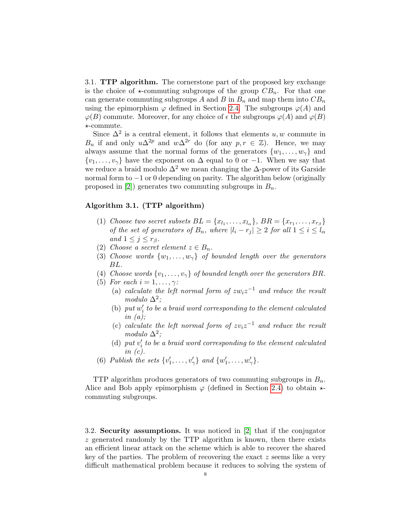3.1. TTP algorithm. The cornerstone part of the proposed key exchange is the choice of  $\star$ -commuting subgroups of the group  $CB_n$ . For that one can generate commuting subgroups A and B in  $B_n$  and map them into  $CB_n$ using the epimorphism  $\varphi$  defined in Section [2.4.](#page-5-0) The subgroups  $\varphi(A)$  and  $\varphi(B)$  commute. Moreover, for any choice of  $\epsilon$  the subgroups  $\varphi(A)$  and  $\varphi(B)$ ?-commute.

Since  $\Delta^2$  is a central element, it follows that elements  $u, w$  commute in  $B_n$  if and only  $u\Delta^{2p}$  and  $w\Delta^{2r}$  do (for any  $p, r \in \mathbb{Z}$ ). Hence, we may always assume that the normal forms of the generators  $\{w_1, \ldots, w_{\gamma}\}\$  and  $\{v_1, \ldots, v_{\gamma}\}\$  have the exponent on  $\Delta$  equal to 0 or −1. When we say that we reduce a braid modulo  $\Delta^2$  we mean changing the  $\Delta$ -power of its Garside normal form to −1 or 0 depending on parity. The algorithm below (originally proposed in [\[2\]](#page-15-2)) generates two commuting subgroups in  $B_n$ .

# Algorithm 3.1. (TTP algorithm)

- (1) Choose two secret subsets  $BL = \{x_{l_1}, \ldots, x_{l_{\alpha}}\}, BR = \{x_{r_1}, \ldots, x_{r_{\beta}}\}$ of the set of generators of  $B_n$ , where  $|l_i - r_j| \geq 2$  for all  $1 \leq i \leq l_\alpha$ and  $1 \leq j \leq r_{\beta}$ .
- (2) Choose a secret element  $z \in B_n$ .
- (3) Choose words  $\{w_1, \ldots, w_{\gamma}\}\$  of bounded length over the generators BL.
- (4) Choose words  $\{v_1, \ldots, v_{\gamma}\}\$  of bounded length over the generators BR.
- (5) For each  $i = 1, \ldots, \gamma$ :
	- (a) calculate the left normal form of  $zw_iz^{-1}$  and reduce the result modulo  $\Delta^2$ ;
	- (b)  $put w_i'$  to be a braid word corresponding to the element calculated in  $(a)$ ;
	- (c) calculate the left normal form of  $zv_iz^{-1}$  and reduce the result modulo  $\Delta^2$ ;
	- (d) put  $v_i'$  to be a braid word corresponding to the element calculated in  $(c)$ .
- (6) Publish the sets  $\{v'_1, \ldots, v'_{\gamma}\}\$ and  $\{w'_1, \ldots, w'_{\gamma}\}\$ .

TTP algorithm produces generators of two commuting subgroups in  $B_n$ . Alice and Bob apply epimorphism  $\varphi$  (defined in Section [2.4\)](#page-5-0) to obtain  $\star$ commuting subgroups.

3.2. Security assumptions. It was noticed in [\[2\]](#page-15-2) that if the conjugator  $z$  generated randomly by the TTP algorithm is known, then there exists an efficient linear attack on the scheme which is able to recover the shared key of the parties. The problem of recovering the exact  $z$  seems like a very difficult mathematical problem because it reduces to solving the system of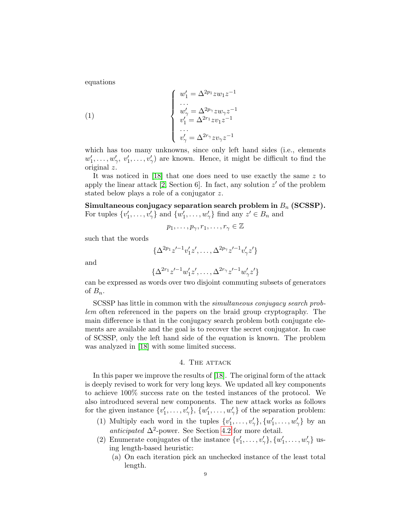equations

(1)  

$$
\begin{cases}\nw'_1 = \Delta^{2p_1} z w_1 z^{-1} \\
\cdots \\
w'_\gamma = \Delta^{2p_\gamma} z w_\gamma z^{-1} \\
v'_1 = \Delta^{2r_1} z v_1 z^{-1} \\
\cdots \\
v'_\gamma = \Delta^{2r_\gamma} z v_\gamma z^{-1}\n\end{cases}
$$

which has too many unknowns, since only left hand sides (i.e., elements  $w'_1, \ldots, w'_{\gamma}, v'_1, \ldots, v'_{\gamma}$  are known. Hence, it might be difficult to find the original z.

It was noticed in [\[18\]](#page-15-0) that one does need to use exactly the same z to apply the linear attack  $[2, Section 6]$  $[2, Section 6]$ . In fact, any solution  $z'$  of the problem stated below plays a role of a conjugator z.

Simultaneous conjugacy separation search problem in  $B_n$  (SCSSP). For tuples  $\{v'_1, \ldots, v'_\gamma\}$  and  $\{w'_1, \ldots, w'_\gamma\}$  find any  $z' \in B_n$  and

$$
p_1,\ldots,p_{\gamma},r_1,\ldots,r_{\gamma}\in\mathbb{Z}
$$

such that the words

$$
\{\Delta^{2p_1}z'^{-1}v'_1z',\ldots,\Delta^{2p_\gamma}z'^{-1}v'_\gamma z'\}
$$

and

$$
\{\Delta^{2r_1}z'^{-1}w'_1z',\ldots,\Delta^{2r_\gamma}z'^{-1}w'_\gamma z'\}
$$

can be expressed as words over two disjoint commuting subsets of generators of  $B_n$ .

SCSSP has little in common with the simultaneous conjugacy search problem often referenced in the papers on the braid group cryptography. The main difference is that in the conjugacy search problem both conjugate elements are available and the goal is to recover the secret conjugator. In case of SCSSP, only the left hand side of the equation is known. The problem was analyzed in [\[18\]](#page-15-0) with some limited success.

#### 4. THE ATTACK

In this paper we improve the results of [\[18\]](#page-15-0). The original form of the attack is deeply revised to work for very long keys. We updated all key components to achieve 100% success rate on the tested instances of the protocol. We also introduced several new components. The new attack works as follows for the given instance  $\{v'_1, \ldots, v'_{\gamma}\}, \{w'_1, \ldots, w'_{\gamma}\}\$  of the separation problem:

- (1) Multiply each word in the tuples  $\{v'_1, \ldots, v'_\gamma\}, \{w'_1, \ldots, w'_\gamma\}$  by an anticipated  $\Delta^2$ -power. See Section [4.2](#page-10-0) for more detail.
- (2) Enumerate conjugates of the instance  $\{v'_1, \ldots, v'_{\gamma}\}, \{w'_1, \ldots, w'_{\gamma}\}\$ using length-based heuristic:
	- (a) On each iteration pick an unchecked instance of the least total length.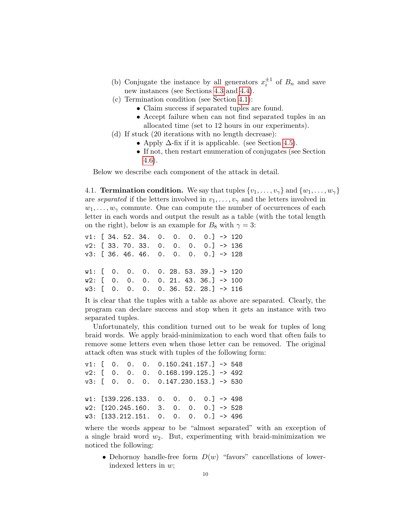- (b) Conjugate the instance by all generators  $x_i^{\pm 1}$  of  $B_n$  and save new instances (see Sections [4.3](#page-11-0) and [4.4\)](#page-11-1).
- (c) Termination condition (see Section [4.1\)](#page-9-0):
	- Claim success if separated tuples are found.
	- Accept failure when can not find separated tuples in an allocated time (set to 12 hours in our experiments).
- (d) If stuck (20 iterations with no length decrease):
	- Apply  $\Delta$ -fix if it is applicable. (see Section [4.5\)](#page-11-2).
	- If not, then restart enumeration of conjugates (see Section [4.6\)](#page-12-0).

Below we describe each component of the attack in detail.

<span id="page-9-0"></span>4.1. **Termination condition.** We say that tuples  $\{v_1, \ldots, v_{\gamma}\}\$  and  $\{w_1, \ldots, w_{\gamma}\}\$ are separated if the letters involved in  $v_1, \ldots, v_{\gamma}$  and the letters involved in  $w_1, \ldots, w_\gamma$  commute. One can compute the number of occurrences of each letter in each words and output the result as a table (with the total length on the right), below is an example for  $B_8$  with  $\gamma = 3$ :

|                                                      |  |  |  | $v1:$ [ 34. 52. 34. 0. 0. 0. 0.] -> 120            |  |
|------------------------------------------------------|--|--|--|----------------------------------------------------|--|
|                                                      |  |  |  | $v2:$ [ 33. 70. 33. 0. 0. 0. 0.] -> 136            |  |
|                                                      |  |  |  | $v3:$ [ 36. 46. 46. 0. 0. 0. 0.] -> 128            |  |
|                                                      |  |  |  |                                                    |  |
|                                                      |  |  |  | $w1:$ [ 0. 0. 0. 0. 28. 53. 39.] -> 120            |  |
|                                                      |  |  |  | $w2:$ [ 0. 0. 0. 0. 21. 43. 36.] $\rightarrow$ 100 |  |
| $w3:$ $[$ 0. 0. 0. 0. 36. 52. 28.] $\rightarrow$ 116 |  |  |  |                                                    |  |

It is clear that the tuples with a table as above are separated. Clearly, the program can declare success and stop when it gets an instance with two separated tuples.

Unfortunately, this condition turned out to be weak for tuples of long braid words. We apply braid-minimization to each word that often fails to remove some letters even when those letter can be removed. The original attack often was stuck with tuples of the following form:

v1: [ 0. 0. 0. 0.150.241.157.] -> 548 v2: [ 0. 0. 0. 0.168.199.125.] -> 492 v3: [ 0. 0. 0. 0.147.230.153.] -> 530  $w1:$  [139.226.133. 0. 0. 0. 0.] -> 498  $w2:$  [120.245.160. 3. 0. 0. 0.] -> 528 w3: [133.212.151. 0. 0. 0. 0.] -> 496

where the words appear to be "almost separated" with an exception of a single braid word  $w_2$ . But, experimenting with braid-minimization we noticed the following:

• Dehornoy handle-free form  $D(w)$  "favors" cancellations of lowerindexed letters in w;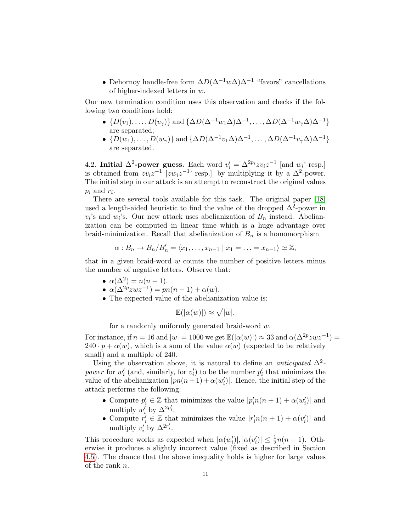• Dehornoy handle-free form  $\Delta D(\Delta^{-1}w\Delta)\Delta^{-1}$  "favors" cancellations of higher-indexed letters in w.

Our new termination condition uses this observation and checks if the following two conditions hold:

- $\{D(v_1), \ldots, D(v_{\gamma})\}$  and  $\{\Delta D(\Delta^{-1}w_1\Delta)\Delta^{-1}, \ldots, \Delta D(\Delta^{-1}w_{\gamma}\Delta)\Delta^{-1}\}$ are separated;
- $\{D(w_1), \ldots, D(w_{\gamma})\}$  and  $\{\Delta D(\Delta^{-1}v_1\Delta)\Delta^{-1}, \ldots, \Delta D(\Delta^{-1}v_{\gamma}\Delta)\Delta^{-1}\}$ are separated.

<span id="page-10-0"></span>4.2. Initial  $\Delta^2$ -power guess. Each word  $v'_i = \Delta^{2p_i} z v_i z^{-1}$  [and  $w_i$ ' resp.] is obtained from  $zv_iz^{-1}$  [ $zw_iz^{-1}$ ' resp.] by multiplying it by a  $\Delta^2$ -power. The initial step in our attack is an attempt to reconstruct the original values  $p_i$  and  $r_i$ .

There are several tools available for this task. The original paper [\[18\]](#page-15-0) used a length-aided heuristic to find the value of the dropped  $\Delta^2$ -power in  $v_i$ 's and  $w_i$ 's. Our new attack uses abelianization of  $B_n$  instead. Abelianization can be computed in linear time which is a huge advantage over braid-minimization. Recall that abelianization of  $B_n$  is a homomorphism

$$
\alpha: B_n \to B_n/B'_n = \langle x_1, \ldots, x_{n-1} \mid x_1 = \ldots = x_{n-1} \rangle \simeq \mathbb{Z},
$$

that in a given braid-word  $w$  counts the number of positive letters minus the number of negative letters. Observe that:

•  $\alpha(\Delta^2) = n(n-1)$ .

$$
\bullet \ \alpha(\Delta^{2p}zwz^{-1}) = pn(n-1) + \alpha(w).
$$

• The expected value of the abelianization value is:

$$
\mathbb{E}(|\alpha(w)|) \approx \sqrt{|w|},
$$

for a randomly uniformly generated braid-word w.

For instance, if  $n = 16$  and  $|w| = 1000$  we get  $\mathbb{E}(|\alpha(w)|) \approx 33$  and  $\alpha(\Delta^{2p}zwz^{-1}) =$  $240 \cdot p + \alpha(w)$ , which is a sum of the value  $\alpha(w)$  (expected to be relatively small) and a multiple of 240.

Using the observation above, it is natural to define an *anticipated*  $\Delta^2$ power for  $w_i'$  (and, similarly, for  $v_i'$ ) to be the number  $p_i'$  that minimizes the value of the abelianization  $|pn(n+1) + \alpha(w_i')|$ . Hence, the initial step of the attack performs the following:

- Compute  $p'_i \in \mathbb{Z}$  that minimizes the value  $|p'_i n(n+1) + \alpha(w'_i)|$  and i multiply  $w'_i$  by  $\Delta^{2p'_i}$ .
- Compute  $r'_i \in \mathbb{Z}$  that minimizes the value  $|r'_i n(n+1) + \alpha(v'_i)|$  and multiply  $v'_i$  by  $\Delta^{2r'_i}$ .

This procedure works as expected when  $|\alpha(w'_i)|, |\alpha(v'_i)| \leq \frac{1}{2}n(n-1)$ . Otherwise it produces a slightly incorrect value (fixed as described in Section [4.5\)](#page-11-2). The chance that the above inequality holds is higher for large values of the rank n.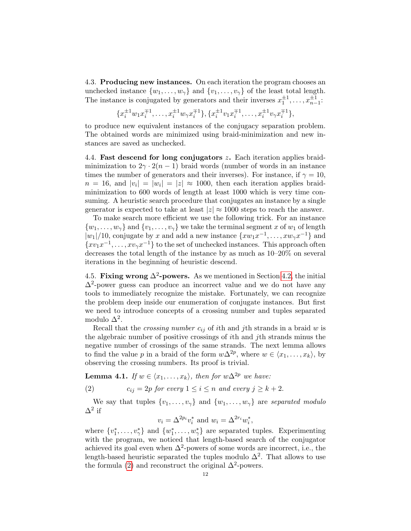<span id="page-11-0"></span>4.3. Producing new instances. On each iteration the program chooses an unchecked instance  $\{w_1, \ldots, w_{\gamma}\}\$  and  $\{v_1, \ldots, v_{\gamma}\}\$  of the least total length. The instance is conjugated by generators and their inverses  $x_1^{\pm 1}, \ldots, x_{n-1}^{\pm 1}$ .

$$
\{x_i^{\pm 1}w_1x_i^{\mp 1},\ldots,x_i^{\pm 1}w_\gamma x_i^{\mp 1}\},\{x_i^{\pm 1}v_1x_i^{\mp 1},\ldots,x_i^{\pm 1}v_\gamma x_i^{\mp 1}\},\
$$

to produce new equivalent instances of the conjugacy separation problem. The obtained words are minimized using braid-minimization and new instances are saved as unchecked.

<span id="page-11-1"></span>4.4. **Fast descend for long conjugators z.** Each iteration applies braidminimization to  $2\gamma \cdot 2(n-1)$  braid words (number of words in an instance times the number of generators and their inverses). For instance, if  $\gamma = 10$ ,  $n = 16$ , and  $|v_i| = |w_i| = |z| \approx 1000$ , then each iteration applies braidminimization to 600 words of length at least 1000 which is very time consuming. A heuristic search procedure that conjugates an instance by a single generator is expected to take at least  $|z| \approx 1000$  steps to reach the answer.

To make search more efficient we use the following trick. For an instance  $\{w_1, \ldots, w_{\gamma}\}\$  and  $\{v_1, \ldots, v_{\gamma}\}\$  we take the terminal segment x of  $w_1$  of length  $|w_1|/10$ , conjugate by x and add a new instance  $\{xw_1x^{-1}, \ldots, xw_\gamma x^{-1}\}\$ and  ${xv_1x^{-1}, \ldots, xv_\gamma x^{-1}}$  to the set of unchecked instances. This approach often decreases the total length of the instance by as much as 10–20% on several iterations in the beginning of heuristic descend.

<span id="page-11-2"></span>4.5. Fixing wrong  $\Delta^2$ -powers. As we mentioned in Section [4.2,](#page-10-0) the initial  $\Delta^2$ -power guess can produce an incorrect value and we do not have any tools to immediately recognize the mistake. Fortunately, we can recognize the problem deep inside our enumeration of conjugate instances. But first we need to introduce concepts of a crossing number and tuples separated modulo  $\Delta^2$ .

Recall that the *crossing number*  $c_{ij}$  of *i*th and *j*th strands in a braid w is the algebraic number of positive crossings of ith and jth strands minus the negative number of crossings of the same strands. The next lemma allows to find the value p in a braid of the form  $w\Delta^{2p}$ , where  $w \in \langle x_1, \ldots, x_k \rangle$ , by observing the crossing numbers. Its proof is trivial.

**Lemma 4.1.** If  $w \in \langle x_1, \ldots, x_k \rangle$ , then for  $w\Delta^{2p}$  we have:

<span id="page-11-3"></span>(2) 
$$
c_{ij} = 2p \text{ for every } 1 \leq i \leq n \text{ and every } j \geq k+2.
$$

We say that tuples  $\{v_1, \ldots, v_{\gamma}\}\$  and  $\{w_1, \ldots, w_{\gamma}\}\$  are separated modulo  $\Delta^2$  if

$$
v_i = \Delta^{2p_i} v_i^*
$$
 and  $w_i = \Delta^{2r_i} w_i^*$ ,

where  $\{v_1^*, \ldots, v_{\gamma}^*\}$  and  $\{w_1^*, \ldots, w_{\gamma}^*\}$  are separated tuples. Experimenting with the program, we noticed that length-based search of the conjugator achieved its goal even when  $\Delta^2$ -powers of some words are incorrect, i.e., the length-based heuristic separated the tuples modulo  $\Delta^2$ . That allows to use the formula [\(2\)](#page-11-3) and reconstruct the original  $\Delta^2$ -powers.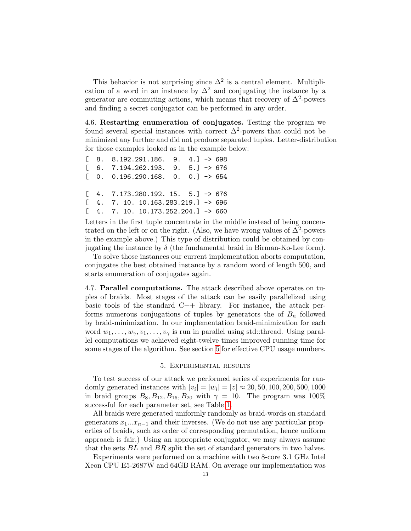This behavior is not surprising since  $\Delta^2$  is a central element. Multiplication of a word in an instance by  $\Delta^2$  and conjugating the instance by a generator are commuting actions, which means that recovery of  $\Delta^2$ -powers and finding a secret conjugator can be performed in any order.

<span id="page-12-0"></span>4.6. Restarting enumeration of conjugates. Testing the program we found several special instances with correct  $\Delta^2$ -powers that could not be minimized any further and did not produce separated tuples. Letter-distribution for those examples looked as in the example below:

 $[ 8. 8.192.291.186. 9. 4. ] \rightarrow 698$  $[ 6. 7.194.262.193. 9. 5. ] \rightarrow 676$  $[0 \ 0 \ 0.196.290.168 \ 0 \ 0 \ 0] \rightarrow 654$  $[$  4. 7.173.280.192. 15. 5.]  $\rightarrow$  676  $[4. 7. 10. 10.163.283.219.]$  -> 696  $[$  4. 7. 10. 10.173.252.204.] -> 660

Letters in the first tuple concentrate in the middle instead of being concentrated on the left or on the right. (Also, we have wrong values of  $\Delta^2$ -powers in the example above.) This type of distribution could be obtained by conjugating the instance by  $\delta$  (the fundamental braid in Birman-Ko-Lee form).

To solve those instances our current implementation aborts computation, conjugates the best obtained instance by a random word of length 500, and starts enumeration of conjugates again.

4.7. Parallel computations. The attack described above operates on tuples of braids. Most stages of the attack can be easily parallelized using basic tools of the standard  $C++$  library. For instance, the attack performs numerous conjugations of tuples by generators the of  $B_n$  followed by braid-minimization. In our implementation braid-minimization for each word  $w_1, \ldots, w_\gamma, v_1, \ldots, v_\gamma$  is run in parallel using std::thread. Using parallel computations we achieved eight-twelve times improved running time for some stages of the algorithm. See section [5](#page-12-1) for effective CPU usage numbers.

### 5. Experimental results

<span id="page-12-1"></span>To test success of our attack we performed series of experiments for randomly generated instances with  $|v_i| = |w_i| = |z| \approx 20, 50, 100, 200, 500, 1000$ in braid groups  $B_8, B_{12}, B_{16}, B_{20}$  with  $\gamma = 10$ . The program was 100% successful for each parameter set, see Table [1.](#page-13-0)

All braids were generated uniformly randomly as braid-words on standard generators  $x_1...x_{n-1}$  and their inverses. (We do not use any particular properties of braids, such as order of corresponding permutation, hence uniform approach is fair.) Using an appropriate conjugator, we may always assume that the sets BL and BR split the set of standard generators in two halves.

Experiments were performed on a machine with two 8-core 3.1 GHz Intel Xeon CPU E5-2687W and 64GB RAM. On average our implementation was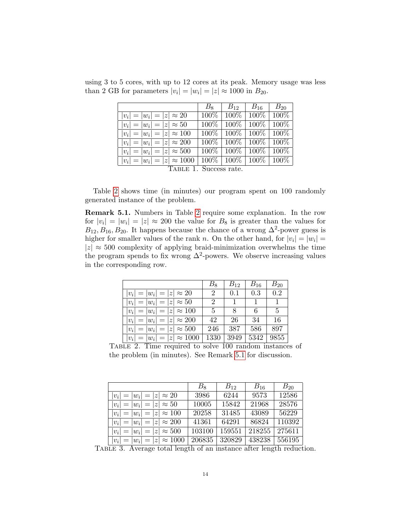<span id="page-13-0"></span>

|                                    | $B_8$   | $B_{12}$          | $B_{16}$          | $B_{20}$ |  |  |
|------------------------------------|---------|-------------------|-------------------|----------|--|--|
| $ v_i  =  w_i  =  z  \approx 20$   | $100\%$ | $100\%$           | $100\%$           | $100\%$  |  |  |
| $ v_i  =  w_i  =  z  \approx 50$   | 100\%   | $100\%$           | $100\%$           | 100\%    |  |  |
| $ v_i  =  w_i  =  z  \approx 100$  | $100\%$ | $100\%$           | $100\%$   $100\%$ |          |  |  |
| $ v_i  =  w_i  =  z  \approx 200$  | $100\%$ | $\mid 100\% \mid$ | $100\%$   $100\%$ |          |  |  |
| $ v_i  =  w_i  =  z  \approx 500$  |         | $100\%$ 100\%     | $100\%$ 100\%     |          |  |  |
| $ v_i  =  w_i  =  z  \approx 1000$ |         | $100\%$   $100\%$ | $100\%$   $100\%$ |          |  |  |
| TABLE 1. Success rate.             |         |                   |                   |          |  |  |

using 3 to 5 cores, with up to 12 cores at its peak. Memory usage was less than 2 GB for parameters  $|v_i| = |w_i| = |z| \approx 1000$  in  $B_{20}$ .

Table [2](#page-13-1) shows time (in minutes) our program spent on 100 randomly generated instance of the problem.

<span id="page-13-2"></span>Remark 5.1. Numbers in Table [2](#page-13-1) require some explanation. In the row for  $|v_i| = |w_i| = |z| \approx 200$  the value for  $B_8$  is greater than the values for  $B_{12}, B_{16}, B_{20}$ . It happens because the chance of a wrong  $\Delta^2$ -power guess is higher for smaller values of the rank n. On the other hand, for  $|v_i| = |w_i|$  $|z| \approx 500$  complexity of applying braid-minimization overwhelms the time the program spends to fix wrong  $\Delta^2$ -powers. We observe increasing values in the corresponding row.

|                                    | $B_8$                       | $B_{12}$ | $B_{16}$ | $B_{20}$ |
|------------------------------------|-----------------------------|----------|----------|----------|
| $ v_i  =  w_i  =  z  \approx 20$   | $\overline{2}$              | 0.1      | 0.3      | 0.2      |
| $ v_i  =  w_i  =  z  \approx 50$   | $\mathcal{D}_{\mathcal{L}}$ |          |          | 1        |
| $ v_i  =  w_i  =  z  \approx 100$  | $\mathbf{5}$                | 8        | 6        | 5        |
| $ v_i  =  w_i  =  z  \approx 200$  | 42                          | 26       | 34       | 16       |
| $ v_i  =  w_i  =  z  \approx 500$  | 246                         | 387      | 586      | 897      |
| $ v_i  =  w_i  =  z  \approx 1000$ | 1330                        | 3949     | 5342     | 9855     |

<span id="page-13-1"></span>Table 2. Time required to solve 100 random instances of the problem (in minutes). See Remark [5.1](#page-13-2) for discussion.

|                                    | $B_8$  | $B_{12}$ | $B_{16}$ | $B_{20}$ |
|------------------------------------|--------|----------|----------|----------|
| $ v_i  =  w_i  =  z  \approx 20$   | 3986   | 6244     | 9573     | 12586    |
| $ v_i  =  w_i  =  z  \approx 50$   | 10005  | 15842    | 21968    | 28576    |
| $ v_i  =  w_i  =  z  \approx 100$  | 20258  | 31485    | 43089    | 56229    |
| $ v_i  =  w_i  =  z  \approx 200$  | 41361  | 64291    | 86824    | 110392   |
| $ v_i  =  w_i  =  z  \approx 500$  | 103100 | 159551   | 218255   | 275611   |
| $ v_i  =  w_i  =  z  \approx 1000$ | 206835 | 320829   | 438238   | 556195   |

<span id="page-13-3"></span>Table 3. Average total length of an instance after length reduction.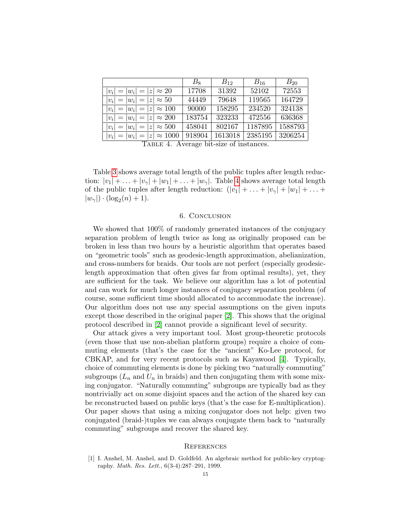|                                    | $B_8$  | $B_{12}$ | $B_{16}$ | $B_{20}$ |
|------------------------------------|--------|----------|----------|----------|
| $ v_i  =  w_i  =  z  \approx 20$   | 17708  | 31392    | 52102    | 72553    |
| $ v_i  =  w_i  =  z  \approx 50$   | 44449  | 79648    | 119565   | 164729   |
| $ v_i  =  w_i  =  z  \approx 100$  | 90000  | 158295   | 234520   | 324138   |
| $ v_i  =  w_i  =  z  \approx 200$  | 183754 | 323233   | 472556   | 636368   |
| $ v_i  =  w_i  =  z  \approx 500$  | 458041 | 802167   | 1187895  | 1588793  |
| $ v_i  =  w_i  =  z  \approx 1000$ | 918904 | 1613018  | 2385195  | 3206254  |

<span id="page-14-1"></span>TABLE 4. Average bit-size of instances.

Table [3](#page-13-3) shows average total length of the public tuples after length reduction:  $|v_1| + \ldots + |v_\gamma| + |w_1| + \ldots + |w_\gamma|$ . Table [4](#page-14-1) shows average total length of the public tuples after length reduction:  $(|v_1| + \ldots + |v_\gamma| + |w_1| + \ldots +$  $|w_{\gamma}| \cdot (\log_2(n) + 1).$ 

### 6. Conclusion

We showed that 100% of randomly generated instances of the conjugacy separation problem of length twice as long as originally proposed can be broken in less than two hours by a heuristic algorithm that operates based on "geometric tools" such as geodesic-length approximation, abelianization, and cross-numbers for braids. Our tools are not perfect (especially geodesiclength approximation that often gives far from optimal results), yet, they are sufficient for the task. We believe our algorithm has a lot of potential and can work for much longer instances of conjugacy separation problem (of course, some sufficient time should allocated to accommodate the increase). Our algorithm does not use any special assumptions on the given inputs except those described in the original paper [\[2\]](#page-15-2). This shows that the original protocol described in [\[2\]](#page-15-2) cannot provide a significant level of security.

Our attack gives a very important tool. Most group-theoretic protocols (even those that use non-abelian platform groups) require a choice of commuting elements (that's the case for the "ancient" Ko-Lee protocol, for CBKAP, and for very recent protocols such as Kayawood [\[4\]](#page-15-18). Typically, choice of commuting elements is done by picking two "naturally commuting" subgroups  $(L_n$  and  $U_n$  in braids) and then conjugating them with some mixing conjugator. "Naturally commuting" subgroups are typically bad as they nontrivially act on some disjoint spaces and the action of the shared key can be reconstructed based on public keys (that's the case for E-multiplication). Our paper shows that using a mixing conjugator does not help: given two conjugated (braid-)tuples we can always conjugate them back to "naturally commuting" subgroups and recover the shared key.

# **REFERENCES**

<span id="page-14-0"></span>[1] I. Anshel, M. Anshel, and D. Goldfeld. An algebraic method for public-key cryptography. Math. Res. Lett., 6(3-4):287–291, 1999.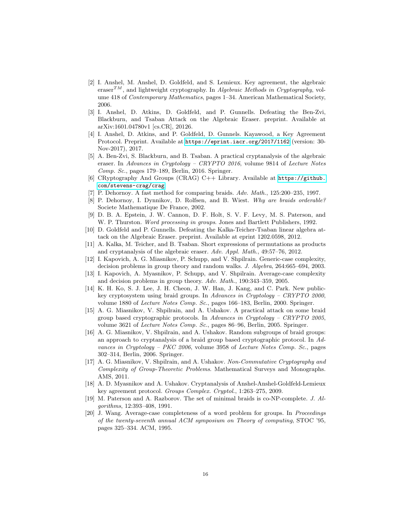- <span id="page-15-2"></span>[2] I. Anshel, M. Anshel, D. Goldfeld, and S. Lemieux. Key agreement, the algebraic eraser<sup>TM</sup>, and lightweight cryptography. In Algebraic Methods in Cryptography, volume 418 of Contemporary Mathematics, pages 1–34. American Mathematical Society, 2006.
- <span id="page-15-6"></span>[3] I. Anshel, D. Atkins, D. Goldfeld, and P. Gunnells. Defeating the Ben-Zvi, Blackburn, and Tsaban Attack on the Algebraic Eraser. preprint. Available at arXiv:1601.04780v1 [cs.CR], 20126.
- <span id="page-15-18"></span>[4] I. Anshel, D. Atkins, and P. Goldfeld, D. Gunnels. Kayawood, a Key Agreement Protocol. Preprint. Available at <https://eprint.iacr.org/2017/1162> (version: 30- Nov-2017), 2017.
- <span id="page-15-5"></span>[5] A. Ben-Zvi, S. Blackburn, and B. Tsaban. A practical cryptanalysis of the algebraic eraser. In Advances in Cryptology – CRYPTO 2016, volume 9814 of Lecture Notes Comp. Sc., pages 179–189, Berlin, 2016. Springer.
- <span id="page-15-1"></span>[6] CRyptography And Groups (CRAG) C++ Library. Available at [https://github.](https://github.com/stevens-crag/crag) [com/stevens-crag/crag](https://github.com/stevens-crag/crag).
- <span id="page-15-9"></span>[7] P. Dehornoy. A fast method for comparing braids. Adv. Math., 125:200–235, 1997.
- <span id="page-15-10"></span>[8] P. Dehornoy, I. Dynnikov, D. Rolfsen, and B. Wiest. Why are braids orderable? Societe Mathematique De France, 2002.
- <span id="page-15-11"></span>[9] D. B. A. Epstein, J. W. Cannon, D. F. Holt, S. V. F. Levy, M. S. Paterson, and W. P. Thurston. *Word processing in groups*. Jones and Bartlett Publishers, 1992.
- <span id="page-15-4"></span>[10] D. Goldfeld and P. Gunnells. Defeating the Kalka-Teicher-Tsaban linear algebra attack on the Algebraic Eraser. preprint. Available at eprint 1202.0598, 2012.
- <span id="page-15-3"></span>[11] A. Kalka, M. Teicher, and B. Tsaban. Short expressions of permutations as products and cryptanalysis of the algebraic eraser. Adv. Appl. Math., 49:57–76, 2012.
- <span id="page-15-14"></span>[12] I. Kapovich, A. G. Miasnikov, P. Schupp, and V. Shpilrain. Generic-case complexity, decision problems in group theory and random walks. J. Algebra, 264:665–694, 2003.
- <span id="page-15-15"></span>[13] I. Kapovich, A. Myasnikov, P. Schupp, and V. Shpilrain. Average-case complexity and decision problems in group theory. Adv. Math., 190:343–359, 2005.
- <span id="page-15-8"></span>[14] K. H. Ko, S. J. Lee, J. H. Cheon, J. W. Han, J. Kang, and C. Park. New publickey cryptosystem using braid groups. In Advances in Cryptology – CRYPTO 2000, volume 1880 of Lecture Notes Comp. Sc., pages 166–183, Berlin, 2000. Springer.
- <span id="page-15-16"></span>[15] A. G. Miasnikov, V. Shpilrain, and A. Ushakov. A practical attack on some braid group based cryptographic protocols. In Advances in Cryptology – CRYPTO 2005, volume 3621 of Lecture Notes Comp. Sc., pages 86–96, Berlin, 2005. Springer.
- <span id="page-15-17"></span>[16] A. G. Miasnikov, V. Shpilrain, and A. Ushakov. Random subgroups of braid groups: an approach to cryptanalysis of a braid group based cryptographic protocol. In Advances in Cryptology – PKC 2006, volume 3958 of Lecture Notes Comp. Sc., pages 302–314, Berlin, 2006. Springer.
- <span id="page-15-7"></span>[17] A. G. Miasnikov, V. Shpilrain, and A. Ushakov. Non-Commutative Cryptography and Complexity of Group-Theoretic Problems. Mathematical Surveys and Monographs. AMS, 2011.
- <span id="page-15-0"></span>[18] A. D. Myasnikov and A. Ushakov. Cryptanalysis of Anshel-Anshel-Goldfeld-Lemieux key agreement protocol. Groups Complex. Cryptol., 1:263–275, 2009.
- <span id="page-15-12"></span>[19] M. Paterson and A. Razborov. The set of minimal braids is co-NP-complete. J. Algorithms, 12:393–408, 1991.
- <span id="page-15-13"></span>[20] J. Wang. Average-case completeness of a word problem for groups. In Proceedings of the twenty-seventh annual ACM symposium on Theory of computing, STOC '95, pages 325–334. ACM, 1995.